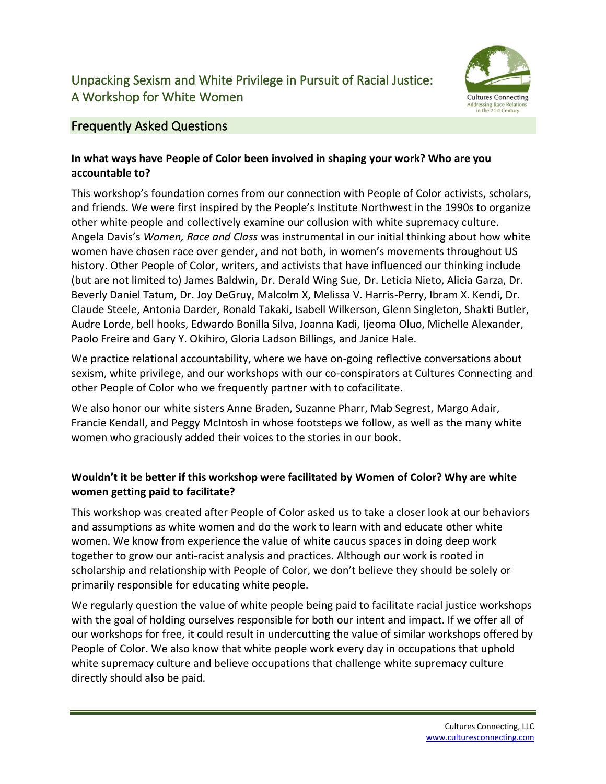# Unpacking Sexism and White Privilege in Pursuit of Racial Justice: A Workshop for White Women



## Frequently Asked Questions

## **In what ways have People of Color been involved in shaping your work? Who are you accountable to?**

This workshop's foundation comes from our connection with People of Color activists, scholars, and friends. We were first inspired by the People's Institute Northwest in the 1990s to organize other white people and collectively examine our collusion with white supremacy culture. Angela Davis's *Women, Race and Class* was instrumental in our initial thinking about how white women have chosen race over gender, and not both, in women's movements throughout US history. Other People of Color, writers, and activists that have influenced our thinking include (but are not limited to) James Baldwin, Dr. Derald Wing Sue, Dr. Leticia Nieto, Alicia Garza, Dr. Beverly Daniel Tatum, Dr. Joy DeGruy, Malcolm X, Melissa V. Harris-Perry, Ibram X. Kendi, Dr. Claude Steele, Antonia Darder, Ronald Takaki, Isabell Wilkerson, Glenn Singleton, Shakti Butler, Audre Lorde, bell hooks, Edwardo Bonilla Silva, Joanna Kadi, Ijeoma Oluo, Michelle Alexander, Paolo Freire and Gary Y. Okihiro, Gloria Ladson Billings, and Janice Hale.

We practice relational accountability, where we have on-going reflective conversations about sexism, white privilege, and our workshops with our co-conspirators at Cultures Connecting and other People of Color who we frequently partner with to cofacilitate.

We also honor our white sisters Anne Braden, Suzanne Pharr, Mab Segrest, Margo Adair, Francie Kendall, and Peggy McIntosh in whose footsteps we follow, as well as the many white women who graciously added their voices to the stories in our book.

## **Wouldn't it be better if this workshop were facilitated by Women of Color? Why are white women getting paid to facilitate?**

This workshop was created after People of Color asked us to take a closer look at our behaviors and assumptions as white women and do the work to learn with and educate other white women. We know from experience the value of white caucus spaces in doing deep work together to grow our anti-racist analysis and practices. Although our work is rooted in scholarship and relationship with People of Color, we don't believe they should be solely or primarily responsible for educating white people.

We regularly question the value of white people being paid to facilitate racial justice workshops with the goal of holding ourselves responsible for both our intent and impact. If we offer all of our workshops for free, it could result in undercutting the value of similar workshops offered by People of Color. We also know that white people work every day in occupations that uphold white supremacy culture and believe occupations that challenge white supremacy culture directly should also be paid.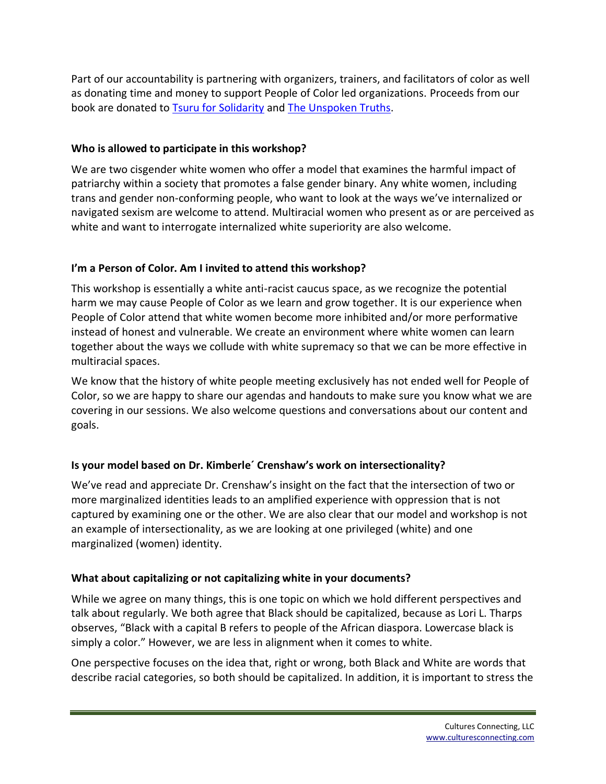Part of our accountability is partnering with organizers, trainers, and facilitators of color as well as donating time and money to support People of Color led organizations. Proceeds from our book are donated to [Tsuru for Solidarity](https://tsuruforsolidarity.org/) and [The Unspoken Truths.](https://www.unspokentruths.org/)

#### **Who is allowed to participate in this workshop?**

We are two cisgender white women who offer a model that examines the harmful impact of patriarchy within a society that promotes a false gender binary. Any white women, including trans and gender non-conforming people, who want to look at the ways we've internalized or navigated sexism are welcome to attend. Multiracial women who present as or are perceived as white and want to interrogate internalized white superiority are also welcome.

#### **I'm a Person of Color. Am I invited to attend this workshop?**

This workshop is essentially a white anti-racist caucus space, as we recognize the potential harm we may cause People of Color as we learn and grow together. It is our experience when People of Color attend that white women become more inhibited and/or more performative instead of honest and vulnerable. We create an environment where white women can learn together about the ways we collude with white supremacy so that we can be more effective in multiracial spaces.

We know that the history of white people meeting exclusively has not ended well for People of Color, so we are happy to share our agendas and handouts to make sure you know what we are covering in our sessions. We also welcome questions and conversations about our content and goals.

#### **Is your model based on Dr. Kimberle´ Crenshaw's work on intersectionality?**

We've read and appreciate Dr. Crenshaw's insight on the fact that the intersection of two or more marginalized identities leads to an amplified experience with oppression that is not captured by examining one or the other. We are also clear that our model and workshop is not an example of intersectionality, as we are looking at one privileged (white) and one marginalized (women) identity.

#### **What about capitalizing or not capitalizing white in your documents?**

While we agree on many things, this is one topic on which we hold different perspectives and talk about regularly. We both agree that Black should be capitalized, because as Lori L. Tharps observes, "Black with a capital B refers to people of the African diaspora. Lowercase black is simply a color." However, we are less in alignment when it comes to white.

One perspective focuses on the idea that, right or wrong, both Black and White are words that describe racial categories, so both should be capitalized. In addition, it is important to stress the